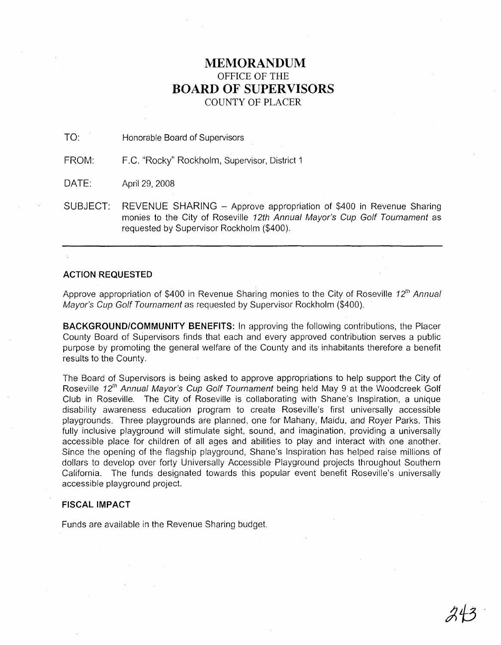## **MEMORANDUM** OFFICE OF THE **BOARD OF SUPERVISORS** COUNTY OF PLACER

TO: Honorable Board of Supervisors

FROM: F.C. "Rocky" Rockholm, Supervisor, District 1

DATE: April 29, 2008

SUBJECT: REVENUE SHARING - Approve appropriation of \$400 in Revenue Sharing monies to the City of Roseville 12th Annual Mayor's Cup Golf Tournament as requested by Supervisor Rockholm (\$400).

## ACTION REQUESTED

Approve appropriation of \$400 in Revenue Sharing monies to the City of Roseville 12<sup>th</sup> Annual Mayor's Cup Golf Tournament as requested by Supervisor Rockholm (\$400).

**BACKGROUND/COMMUNITY BENEFITS:** In approving the following contributions, the Placer County Board of Supervisors finds that each and every approved contribution serves a public purpose by promoting the general welfare of the County and its inhabitants therefore a benefit results to the County.

The Board of Supervisors is being asked to approve appropriations to help support the City of Roseville 12<sup>th</sup> Annual Mayor's Cup Golf Tournament being held May 9 at the Woodcreek Golf Club in Roseville. The City of Roseville is collaborating with Shane's Inspiration, a unique disability awareness education program to create Roseville's first universally accessible playgrounds. Three playgrounds are planned, one for Mahany, Maidu, and Royer Parks. This fully inclusive playground will stimulate sight, sound, and imagination, providing a universally accessible place for children of all ages and abilities to play and interact with one another. Since the opening of the flagship playground, Shane's Inspiration has helped raise millions of dollars to develop over forty Universally Accessible Playground projects throughout Southern California. The funds designated towards this popular event benefit Roseville's universally accessible playground project.

## **FISCAL IMPACT**

Funds are available in the Revenue Sharing budget.